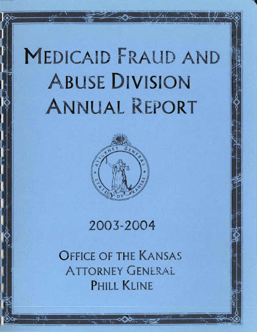# **MEDICAID FRALID AND** A BUSE **DIVISION**  ANNUAL REPORT



# 2003-2004

OFFICE OF THE KANSAS **ATTORNEY GENERAL** PHILL KLINE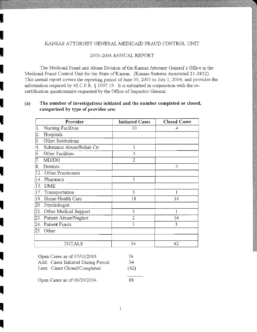# KANSAS ATTORNEY GENERAL MEDICAID FRAUD CONTROL UNIT

# 2003-2004 ANNUAL REPORT

The Medicaid Fraud and Abuse Division of the Kansas Attorney General's Office is the Medicaid Fraud Control Unit for the State of Kansas. (Kansas Statutes Annotated 21-3852). This annual report covers the reporting period of June 30, 2003 to July 1, 2004, and provides the information required by 42 C.F.R.  $\S$  1007.19. It is submitted in conjunction with the recertification questionnaire requested by the Office of Inspector General.

# **(a) The number of investigations initiated and the number completed or closed, categorized by type of provider are:**

|     | Provider                  | <b>Initiated Cases</b> | <b>Closed Cases</b> |
|-----|---------------------------|------------------------|---------------------|
| 1.  | Nursing Facilities        | 10                     | 4                   |
| 2.  | Hospitals                 |                        |                     |
| 3.  | Other Institutions        |                        |                     |
| 4.  | Substance Abuse/Rehab Ctr | 1                      |                     |
| б.  | Other Facilities          | 3                      |                     |
| 7.  | MD/DO                     | $\overline{2}$         |                     |
| 8.  | Dentists                  |                        | 3                   |
| 13. | Other Practioners         |                        |                     |
| 14. | Pharmacy                  | 5                      |                     |
|     | 15. DME                   |                        |                     |
| 17. | Transportation            | 5                      | 1                   |
| 18. | Home Health Care          | 18                     | 16                  |
| 20. | Psychologist              |                        |                     |
| 21. | Other Medical Support     | 3                      | 1                   |
| 23. | Patient Abuse/Neglect     | $\overline{2}$         | 14                  |
|     | 24. Patient Funds         | 5                      | 3                   |
| 25. | Other                     |                        |                     |
|     | <b>TOTALS</b>             | 54                     | 42                  |

| Open Cases as of 07/01/2003        | 76.  |
|------------------------------------|------|
| Add: Cases Initiated During Period | -54  |
| Less: Cases Closed/Completed       | (42) |

Open Cases as of 06/30/2004

**I** 

I

I

I

I

I

I

I

I

I

I

I

I

I

88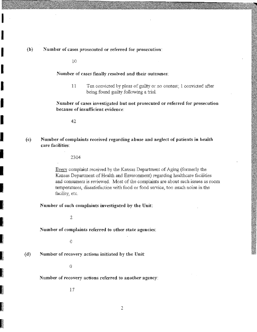$\begin{bmatrix} 1 & 1 \end{bmatrix}$ Number of cases prosecuted or referred for prosecution:

10

I

I

I

**I** 

I

I

I

I

I

i<br>Isaacada iyo dhamaanka iyo dhamaanka iyo dhamaanka iyo dhamaanka iyo dhamaanka iyo dhamaanka iyo dhamaanka iyo

**INSTERNATIONAL** 

**International Property** 

**INTERNATIONAL PROPERTY** 

Number of cases finally resolved and their outcomes:

11 Ten convicted by pleas of guilty or no contest; 1 convicted after being found guilty following a trial.

Number of cases investigated but not prosecuted or referred for prosecution because of insufficient evidence:

42

I (e) Number of complaints received regarding abuse and neglect of patients in health care facilities:

2304

Every complaint received by the Kansas Department of Aging. (formerly the Kansas Department of Health and Environment) regarding healthcare facilities and consumers is reviewed. Most of the complaints are about such issues as room temperatures, dissatisfaction with fuod or food service, too much noise in the facility, etc.

Number of such complaints investigated by the Unit:

2

Number of complaints referred to other state agencies:

o

I (d) Number of recovery actions initiated by the Unit:

o

Number of recovery actions referred to another agency:

17

 $\overline{2}$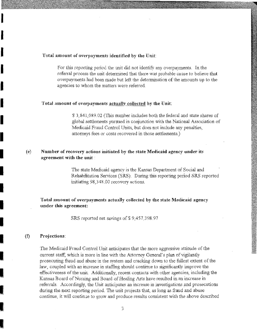# Total amount of overpayments identified by the Unit:

For this reporting period the unit did not identify any overpayments. In the referral process the unit determined that there was probable eause to believe that overpayments had been made but left the detennination of the amounts up to the agencies to whom the matters were referred.

# Total amount of overpayments actuallv collected by the Unit:

S 3,841,089.02 (This number includes both the federal and state shares of global settlements pursued in conjunction with the National Association of Medicaid Fraud Control Umts, but does not include any penalties, attomeys fees or costs recovered in those settlements.)

#### (e) Number of recovery actions initiated· by the state Medicaid agency under its agreement with the unit:

The state Medicaid agency is the Kansas Department of Social and Rehabilitation Services (SRS). During this reporting period SRS reported initiating 98,348.00 recovery actions.

# Total amount of overpayments actually collected by the state Medicaid agency under this agreement:

SRS reported net savings of \$9,457,398.97

#### (f) Projections:

I

I

I

**I** 

I

I

I

I

I

I

I

I

I

I

I

i<br>Barrent

I

I

I

The Medicaid Fraud Control Unit anticipates that the more aggressive attitude of the current staff, which is more in line with the Attorney General's plan of vigilantly prosecuting fraud and abuse in the system and cracking down. to the fullest extent of the law, coupled with an increase in staffing should continue to significantly improve the effectiveness of the unit. Additionally, recent contacts with other agencies, including the Kansas Board of Nursing and Board of Healing Arts have resulted in an increase in referrals. Accordingly, the Unit anticipates an increase in :nvestigations and prosecutions during the next reporting period. The unit projects that, as long as fraud and abuse continue, it will continue to grow and produce results consistent with the above described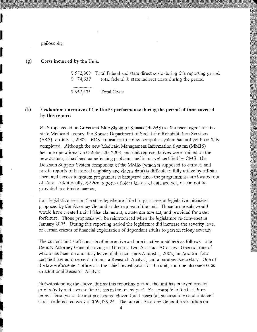philosophy.

I

I

I

I

I

I

I

I

I

I

I

I

**I** 

I

I

I

I

I

I

(g) Costs incurred by the Unit:

> \$ 572,868 Total federal and state direct costs during this reporting period. \$ 74,637 total federal & state indirect costs during the period

\$ 647,505 Total *Costs* 

#### (h) Evaluation narrative of the Unit's performance during the period of time covered by this report:

EDS replaced Blue Cross and Blue Shield of Kansas (BC/BS) as the fiscal agent for the state Medicaid agency, the Kansas Department of Social and Rehabilitation Services (SRS), on July 1,2002. EDS' transition to a new computer system has not yet been fully completed. Although the new Medicaid Management Information System (MMIS) became operational on October 20, 2003, and unit representatives were trained on the new system, it has been experiencing problems and is not yet certified by CMS. The Decision Support System component of the MMIS (which is supposed to extract, and create reports of historical eligibility and claims data) is difficult to fully utilize by off~site users and access to system programers is hampered since the programmers are located out of state. Additionally, *Ad Hoc* reports of older historical data are not, or can not be provided in a timely manner.

Last legislative session the state legislature failed to pass several legislative initiatives proposed by the Attorney General at the request of the unit. Those proposals would would have created a civil false claims act, a state *qui tam* act, and provided for asset forfeiture. Those proposals will be reintroduced when the legislature re-convenes in January 2005. During this reporting period the legislature did increase the severity level of certain crimes of financial exploitation of dependant adults to person felony severity.

The current unit staff consists of nine active and one inactive members as follows: one Deputy Attorney General serving as Director, two Assistant Attorneys General one of whom has been on a military leave of absence since August 1,2002, an Auditor, four certified law enforcement officers, a Research Analyst, and a paralegal/secretary. One of the law enforcement officers is the Chief Investigator for the unit, and one also serves as an additional Research Analyst.

Notwithstanding the above, during this reporting period, the unit has enjoyed greater productivity and success than it has in the recent past. For example in the last three federal fiscal years the unit prosecuted eleven fraud cases (all successfully) and obtained Court ordered recovery of \$69,339.24. The current Attorney General took office on

4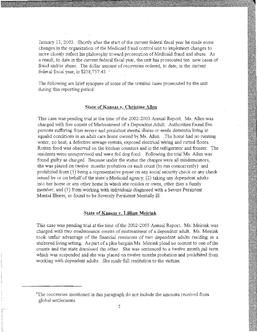January 13, 2003. Shortly after the start of the current federal fiscal year he made some changes in the organization of the Medicaid fraud control unit to implement changes to mare closely reflect his philosophy toward prosecution of Medicaid fraud and abuse. As a result, to date in the current federal fiscal year, the unit has prosecuted ten new cases of fraud and/or abuse. The dollar amount of recoveries ordered, to date, in the current federal fiscal year, is  $$238,757.43$ .

The foliowing are brief synopses of some of the criminal cases prosecuted by the unit during this reporting period:

# State of Kansas v. Christine Allen

This case was pending trial at the time of the 2002-2003 Annual Report. Ms. Allen was charged with five counts of Mistreatment of a Dependent Adult. Authorities found five persons suffering from severe and persistent mental illness or senile dementia living in squalid conditions in an adult care home owned by Ms. Allen. The home had no running water, no heat, a defective sewage system, exposed electrical wiring and rotted floors. Rotten food was observed on the kitchen counters and in the refrigerator and freezer. The residents were unsupervised and were fed dog food. Following the trial Ms. Allen was found guilty as charged. Because under the statue the charges were all misdemeanors, she was placed on twelve months probation on each count (to run concurrently) and prohibited from (1) being a representative payee on any social security check or any check issued by or on behalf of the state's Medicaid agency; (2) taking any dependent adults into her home or any other home in which she resides or owns, other than a family member; and (3) from working with individuals diagnosed with a Severe Persistent Mental lllness, or found to be Severely Persistent Mentally TIL

# State of Kansas v. Lillian Meirink

This case was pending trial at the time of the 2002·2003 Annual Report. Ms. Meirink was charged with two misdemeanor counts of mistreatment of a dependent adult. Ms. Meirink to ok unfair advantage of the financial resources of two dependent adults res:ding in a shcitered living setting. As part of a plea bargain Ms. Meirink plead no contest to one of the counts and the state dismissed the other. She was sentenced to a twelve month jail term which was suspended and she was placed on twelve months probation and prohibited from working with dependent adults. She made full restitution to the victims.

<sup>&</sup>lt;sup>1</sup>The recoveries mentioned in this paragraph do not include the amounts received from global settlements.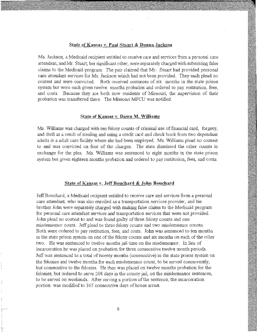# State of Kansas v. Paul Stuart & Donna Jackson

Ms. Jackson, a Medicaid recipient entitled to receive care and services from a personal care attendant, and Mr. Stuart, ber significant other, were separately charged with submitting false claims to the Medicaid program. The pair claimed that Mr. Stuart had provided personal care attendant services for Ms. JacKson which had not been provided. They each plead no contest and were convicted. Both received sentences of six months in the state prison system but were each given twelve months probation and ordered to pay restitution, fees, and costs. Because they are both now residents of Missouri, the supervision of their probation was transferred there. The Missouri MFCU was notified.

## State of Kansas v. Dawn M. Williams

Ms. Williams was charged with ten felony counts of criminal use offmancial card, forgery, and theft as a result of stealing and using a credit card and check book from two dependant adults in a adult care facility where she bad been employed. Ms. Williams plead no contest to and was convicted on four of the charges. The state dismissed the other counts in exchange for the plea. Ms. Williams was sentenced to eight months in the state prison system but given eighteen months probation and ordered to pay restitution, fees, and *costs.* 

# State of Kansas y. Jeff Bouchard & John Bouchard

JeffBoucbard, a Medicaid recipient entitled to receive care and services from a persenal care attendant, who was also enrolled as a transportation services provider, and his brother John were separately charged with making false claims to the Medicaid program for personal care attendant services and transportation services that were not provided. John plead no contest to and was found guilty of three felony counts and one misdemeanor count. Jeff plead to three felony counts and two misdemeanor counts. Both were ordered to pay restitntion, fees, and costs. John was sentenced to ten months m the state prison system on one of the felony counts and six months on each of the other two. He was sentenced to twelve months jail time on the misdemeanor. Inlieu of incarceration he was placed on probation for tbree consecutive twelve month periods. Jeff was sentenced to a total of twenty months ( consecutive) in the state prison system on the felonies and twelve months for each misdemeanor count, to be served concurrently, but consecutive to the felonies. He then was placed on twelve months probation for the felonies, but ordered to serve 208 days in the county jail, on the misdemeanor sentences, to be served on weekends. After serving a portion of the sentence, the incarceration portion was modified to 365 consecutive days of house arrest.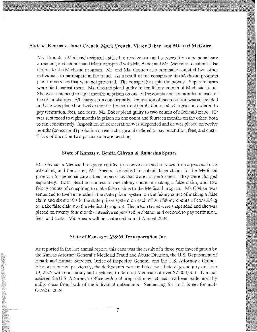# State of Kansas v. Janet Crouch, Mark Crouch, Victor Baber, and Michael McGuire

Ms. Crouch, a Medicaid recipient entitled to receive care and services from a personal care attendant, and her husband Mark conspired with.Mr. Baber and Mr. McGuire to suhmit false claims to the Medicaid program. Mr. and Ms. Crouch also criminally solicited two other individuals to participate in the fraud. As a result of the conspiracy the Medicaid program paid for services that were not provided. The conspirators split the money. Separate cases were filed against them. Ms. Crouch plead guilty to ten felony counts of Medicaid fraud. She was sentenced to eight months in prison on one of the counts and six months on each of the other charges. All charges run concurrently. Imposition of incarceration was suspended and she was placed on twelve months (concurrent) probation on ali charges and ordered to pay restitution, fees, and costs. Mr. Baber plead guilty to two counts of Medicaid fraud. He was sentenced to eight months in prison on one count and fourteen months on the other, both to run concurrently. Imposition of incarceration was suspended and he was placed on twelve months (concurrent) probation on each charge and ordered to pay restitution, fees, and costs. Trials of the other two participants are pending.

# **State of}{ansas Y. Benita Gihvan & Rameshia Spears**

Ms. Givhan, a Medicaid recipient entitled to receive care and services from a personal care attendant, and her sister, Ms. Spears, conspired to submit false claims to the Medicaid program for personal care attendant services that were not performed. They were charged separately. Both plead no contest to one felony count of making a false claim, and two felony counts of conspiring to make false claims to the Medicaid program. Ms Givhan was sentenced to twelve months in the state prison system on the felony count of making a false claim and six months in the state prison system on each of two felony counts of conspiring to make false claims to the Medicaid program. The prison terms were suspended and she was placed on twenty four months intensive supervised probation and ordered to pay restitution, fees, and costs. Ms. Spears will be sentenced in mid-August 2004 .

### State of Kansas v. M&M Transportation Inc.

7

As reported in the last annual report, this case was the result of a three year investigation by the Kansas Attorney General's Medicaid Fraud and Abuse Division, the U.S. Department of Health and Human Services, Office of Inspector General, and the U.S. Attorney's Office. Also, as reported previously, the defendants were indicted by a federal grand jury on June 19, 2003 with conspiracy and a scheme to defraud Medicaid of over \$2,000,000. The unit assisted the U.S. Attorney's Office with trial preparation which has now been made moot by guilty pleas from both of the individual defendants. Sentencing for both is set for mid-October 2004.